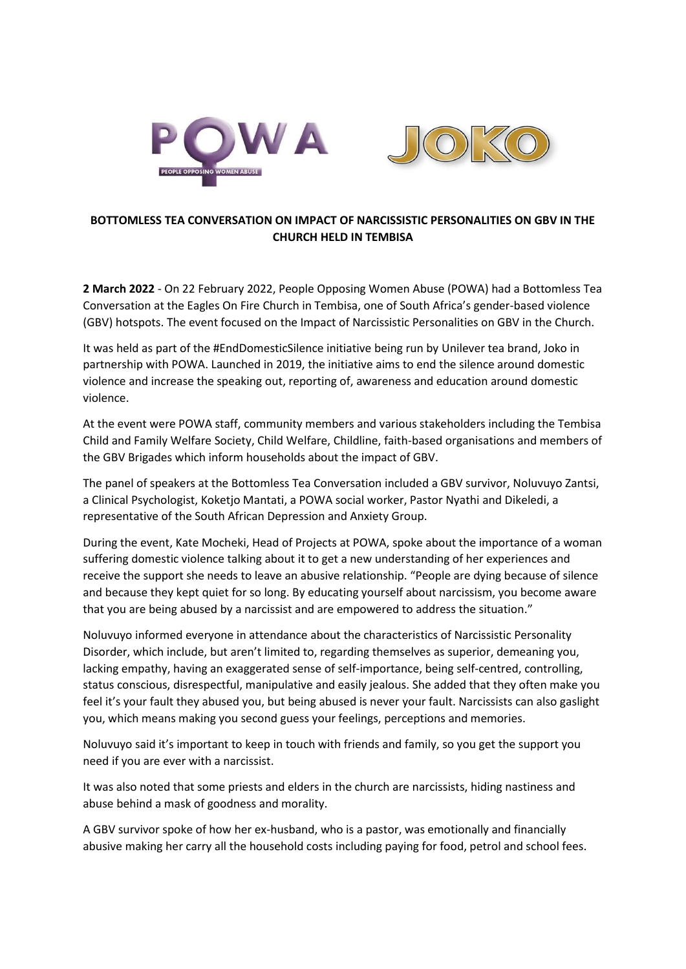



## **BOTTOMLESS TEA CONVERSATION ON IMPACT OF NARCISSISTIC PERSONALITIES ON GBV IN THE CHURCH HELD IN TEMBISA**

**2 March 2022** - On 22 February 2022, People Opposing Women Abuse (POWA) had a Bottomless Tea Conversation at the Eagles On Fire Church in Tembisa, one of South Africa's gender-based violence (GBV) hotspots. The event focused on the Impact of Narcissistic Personalities on GBV in the Church.

It was held as part of the #EndDomesticSilence initiative being run by Unilever tea brand, Joko in partnership with POWA. Launched in 2019, the initiative aims to end the silence around domestic violence and increase the speaking out, reporting of, awareness and education around domestic violence.

At the event were POWA staff, community members and various stakeholders including the Tembisa Child and Family Welfare Society, Child Welfare, Childline, faith-based organisations and members of the GBV Brigades which inform households about the impact of GBV.

The panel of speakers at the Bottomless Tea Conversation included a GBV survivor, Noluvuyo Zantsi, a Clinical Psychologist, Koketjo Mantati, a POWA social worker, Pastor Nyathi and Dikeledi, a representative of the South African Depression and Anxiety Group.

During the event, Kate Mocheki, Head of Projects at POWA, spoke about the importance of a woman suffering domestic violence talking about it to get a new understanding of her experiences and receive the support she needs to leave an abusive relationship. "People are dying because of silence and because they kept quiet for so long. By educating yourself about narcissism, you become aware that you are being abused by a narcissist and are empowered to address the situation."

Noluvuyo informed everyone in attendance about the characteristics of Narcissistic Personality Disorder, which include, but aren't limited to, regarding themselves as superior, demeaning you, lacking empathy, having an exaggerated sense of self-importance, being self-centred, controlling, status conscious, disrespectful, manipulative and easily jealous. She added that they often make you feel it's your fault they abused you, but being abused is never your fault. Narcissists can also gaslight you, which means making you second guess your feelings, perceptions and memories.

Noluvuyo said it's important to keep in touch with friends and family, so you get the support you need if you are ever with a narcissist.

It was also noted that some priests and elders in the church are narcissists, hiding nastiness and abuse behind a mask of goodness and morality.

A GBV survivor spoke of how her ex-husband, who is a pastor, was emotionally and financially abusive making her carry all the household costs including paying for food, petrol and school fees.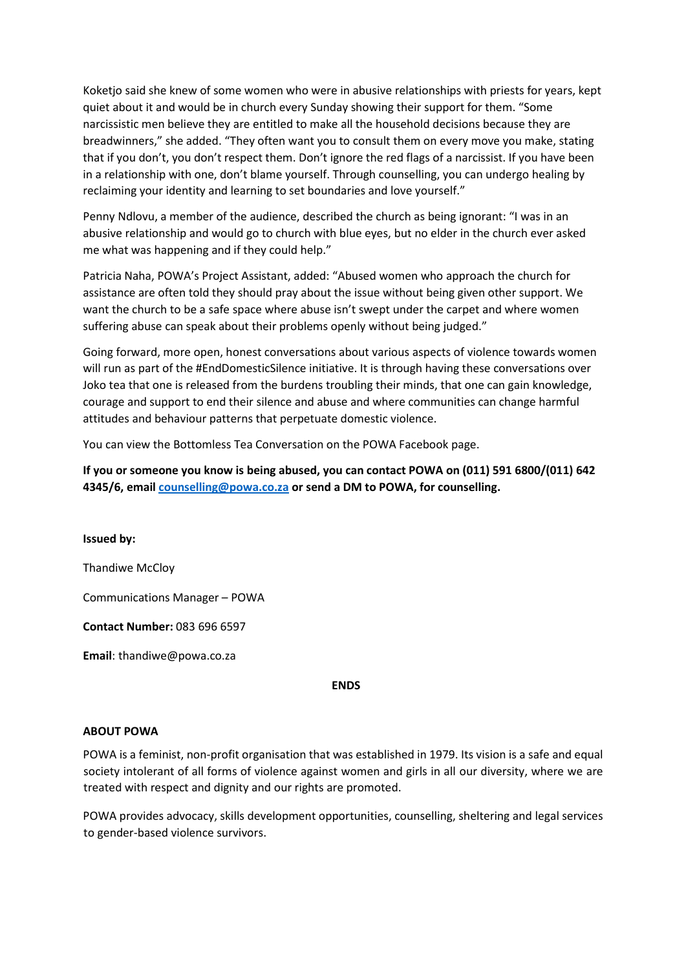Koketjo said she knew of some women who were in abusive relationships with priests for years, kept quiet about it and would be in church every Sunday showing their support for them. "Some narcissistic men believe they are entitled to make all the household decisions because they are breadwinners," she added. "They often want you to consult them on every move you make, stating that if you don't, you don't respect them. Don't ignore the red flags of a narcissist. If you have been in a relationship with one, don't blame yourself. Through counselling, you can undergo healing by reclaiming your identity and learning to set boundaries and love yourself."

Penny Ndlovu, a member of the audience, described the church as being ignorant: "I was in an abusive relationship and would go to church with blue eyes, but no elder in the church ever asked me what was happening and if they could help."

Patricia Naha, POWA's Project Assistant, added: "Abused women who approach the church for assistance are often told they should pray about the issue without being given other support. We want the church to be a safe space where abuse isn't swept under the carpet and where women suffering abuse can speak about their problems openly without being judged."

Going forward, more open, honest conversations about various aspects of violence towards women will run as part of the #EndDomesticSilence initiative. It is through having these conversations over Joko tea that one is released from the burdens troubling their minds, that one can gain knowledge, courage and support to end their silence and abuse and where communities can change harmful attitudes and behaviour patterns that perpetuate domestic violence.

You can view the Bottomless Tea Conversation on the POWA Facebook page.

**If you or someone you know is being abused, you can contact POWA on (011) 591 6800/(011) 642 4345/6, emai[l counselling@powa.co.za](mailto:counselling@powa.co.za) or send a DM to POWA, for counselling.** 

**Issued by:**  Thandiwe McCloy Communications Manager – POWA **Contact Number:** 083 696 6597

**Email**[: thandiwe@powa.co.za](mailto:thandiwe@powa.co.za)

**ENDS** 

## **ABOUT POWA**

POWA is a feminist, non-profit organisation that was established in 1979. Its vision is a safe and equal society intolerant of all forms of violence against women and girls in all our diversity, where we are treated with respect and dignity and our rights are promoted.

POWA provides advocacy, skills development opportunities, counselling, sheltering and legal services to gender-based violence survivors.